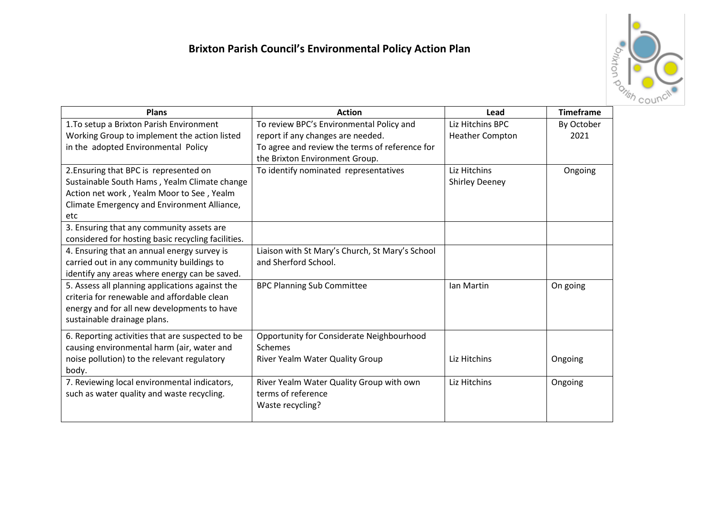

| <b>Plans</b>                                       | <b>Action</b>                                   | Lead                   | <b>Timeframe</b> |
|----------------------------------------------------|-------------------------------------------------|------------------------|------------------|
| 1. To setup a Brixton Parish Environment           | To review BPC's Environmental Policy and        | Liz Hitchins BPC       | By October       |
| Working Group to implement the action listed       | report if any changes are needed.               | <b>Heather Compton</b> | 2021             |
| in the adopted Environmental Policy                | To agree and review the terms of reference for  |                        |                  |
|                                                    | the Brixton Environment Group.                  |                        |                  |
| 2. Ensuring that BPC is represented on             | To identify nominated representatives           | Liz Hitchins           | Ongoing          |
| Sustainable South Hams, Yealm Climate change       |                                                 | <b>Shirley Deeney</b>  |                  |
| Action net work, Yealm Moor to See, Yealm          |                                                 |                        |                  |
| Climate Emergency and Environment Alliance,        |                                                 |                        |                  |
| etc                                                |                                                 |                        |                  |
| 3. Ensuring that any community assets are          |                                                 |                        |                  |
| considered for hosting basic recycling facilities. |                                                 |                        |                  |
| 4. Ensuring that an annual energy survey is        | Liaison with St Mary's Church, St Mary's School |                        |                  |
| carried out in any community buildings to          | and Sherford School.                            |                        |                  |
| identify any areas where energy can be saved.      |                                                 |                        |                  |
| 5. Assess all planning applications against the    | <b>BPC Planning Sub Committee</b>               | Ian Martin             | On going         |
| criteria for renewable and affordable clean        |                                                 |                        |                  |
| energy and for all new developments to have        |                                                 |                        |                  |
| sustainable drainage plans.                        |                                                 |                        |                  |
| 6. Reporting activities that are suspected to be   | Opportunity for Considerate Neighbourhood       |                        |                  |
| causing environmental harm (air, water and         | Schemes                                         |                        |                  |
| noise pollution) to the relevant regulatory        | River Yealm Water Quality Group                 | Liz Hitchins           | Ongoing          |
| body.                                              |                                                 |                        |                  |
| 7. Reviewing local environmental indicators,       | River Yealm Water Quality Group with own        | Liz Hitchins           | Ongoing          |
| such as water quality and waste recycling.         | terms of reference                              |                        |                  |
|                                                    | Waste recycling?                                |                        |                  |
|                                                    |                                                 |                        |                  |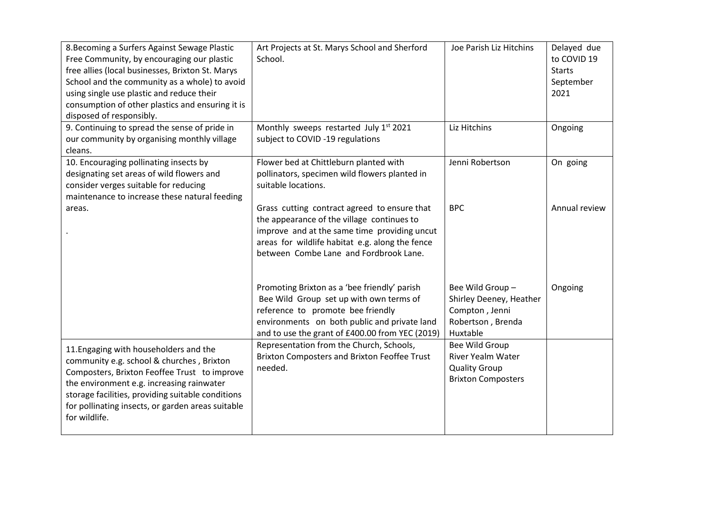| 8. Becoming a Surfers Against Sewage Plastic      | Art Projects at St. Marys School and Sherford   | Joe Parish Liz Hitchins   | Delayed due   |
|---------------------------------------------------|-------------------------------------------------|---------------------------|---------------|
| Free Community, by encouraging our plastic        | School.                                         |                           | to COVID 19   |
| free allies (local businesses, Brixton St. Marys  |                                                 |                           | <b>Starts</b> |
| School and the community as a whole) to avoid     |                                                 |                           | September     |
| using single use plastic and reduce their         |                                                 |                           | 2021          |
| consumption of other plastics and ensuring it is  |                                                 |                           |               |
| disposed of responsibly.                          |                                                 |                           |               |
| 9. Continuing to spread the sense of pride in     | Monthly sweeps restarted July 1st 2021          | Liz Hitchins              | Ongoing       |
| our community by organising monthly village       | subject to COVID -19 regulations                |                           |               |
| cleans.                                           |                                                 |                           |               |
| 10. Encouraging pollinating insects by            | Flower bed at Chittleburn planted with          | Jenni Robertson           | On going      |
| designating set areas of wild flowers and         | pollinators, specimen wild flowers planted in   |                           |               |
| consider verges suitable for reducing             | suitable locations.                             |                           |               |
| maintenance to increase these natural feeding     |                                                 |                           |               |
| areas.                                            | Grass cutting contract agreed to ensure that    | <b>BPC</b>                | Annual review |
|                                                   | the appearance of the village continues to      |                           |               |
|                                                   | improve and at the same time providing uncut    |                           |               |
|                                                   | areas for wildlife habitat e.g. along the fence |                           |               |
|                                                   | between Combe Lane and Fordbrook Lane.          |                           |               |
|                                                   |                                                 |                           |               |
|                                                   | Promoting Brixton as a 'bee friendly' parish    | Bee Wild Group-           | Ongoing       |
|                                                   | Bee Wild Group set up with own terms of         | Shirley Deeney, Heather   |               |
|                                                   | reference to promote bee friendly               | Compton, Jenni            |               |
|                                                   | environments on both public and private land    | Robertson, Brenda         |               |
|                                                   | and to use the grant of £400.00 from YEC (2019) | Huxtable                  |               |
|                                                   | Representation from the Church, Schools,        | Bee Wild Group            |               |
| 11. Engaging with householders and the            | Brixton Composters and Brixton Feoffee Trust    | <b>River Yealm Water</b>  |               |
| community e.g. school & churches, Brixton         | needed.                                         | <b>Quality Group</b>      |               |
| Composters, Brixton Feoffee Trust to improve      |                                                 | <b>Brixton Composters</b> |               |
| the environment e.g. increasing rainwater         |                                                 |                           |               |
| storage facilities, providing suitable conditions |                                                 |                           |               |
| for pollinating insects, or garden areas suitable |                                                 |                           |               |
| for wildlife.                                     |                                                 |                           |               |
|                                                   |                                                 |                           |               |